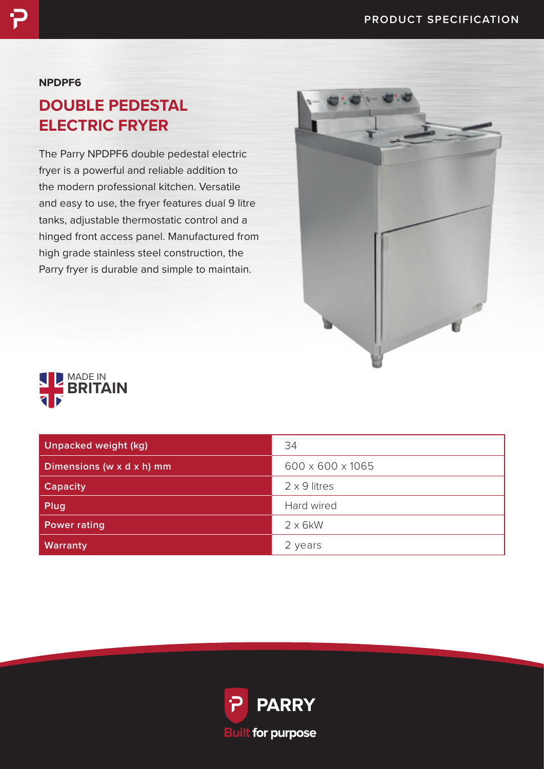### **NPDPF6**

# **DOUBLE PEDESTAL ELECTRIC FRYER**

The Parry NPDPF6 double pedestal electric fryer is a powerful and reliable addition to the modern professional kitchen. Versatile and easy to use, the fryer features dual 9 litre tanks, adjustable thermostatic control and a hinged front access panel. Manufactured from high grade stainless steel construction, the Parry fryer is durable and simple to maintain.





| <b>Unpacked weight (kg)</b> | 34                  |
|-----------------------------|---------------------|
| Dimensions (w x d x h) mm   | 600 x 600 x 1065    |
| <b>Capacity</b>             | $2 \times 9$ litres |
| Plug                        | Hard wired          |
| <b>Power rating</b>         | $2 \times 6$ kW     |
| <b>Warranty</b>             | 2 years             |